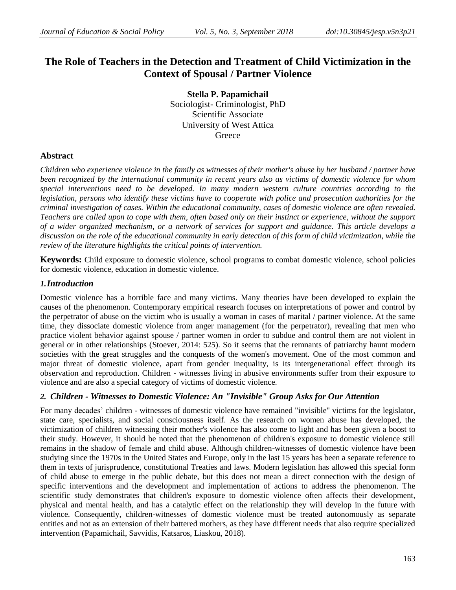# **The Role of Teachers in the Detection and Treatment of Child Victimization in the Context of Spousal / Partner Violence**

**Stella P. Papamichail** Sociologist- Criminologist, PhD Scientific Associate University of West Attica **Greece** 

## **Abstract**

*Children who experience violence in the family as witnesses of their mother's abuse by her husband / partner have been recognized by the international community in recent years also as victims of domestic violence for whom special interventions need to be developed. In many modern western culture countries according to the legislation, persons who identify these victims have to cooperate with police and prosecution authorities for the criminal investigation of cases. Within the educational community, cases of domestic violence are often revealed. Teachers are called upon to cope with them, often based only on their instinct or experience, without the support of a wider organized mechanism, or a network of services for support and guidance. This article develops a discussion on the role of the educational community in early detection of this form of child victimization, while the review of the literature highlights the critical points of intervention.*

**Keywords:** Child exposure to domestic violence, school programs to combat domestic violence, school policies for domestic violence, education in domestic violence.

## *1.Introduction*

Domestic violence has a horrible face and many victims. Many theories have been developed to explain the causes of the phenomenon. Contemporary empirical research focuses on interpretations of power and control by the perpetrator of abuse on the victim who is usually a woman in cases of marital / partner violence. At the same time, they dissociate domestic violence from anger management (for the perpetrator), revealing that men who practice violent behavior against spouse / partner women in order to subdue and control them are not violent in general or in other relationships (Stoever, 2014: 525). So it seems that the remnants of patriarchy haunt modern societies with the great struggles and the conquests of the women's movement. One of the most common and major threat of domestic violence, apart from gender inequality, is its intergenerational effect through its observation and reproduction. Children - witnesses living in abusive environments suffer from their exposure to violence and are also a special category of victims of domestic violence.

# *2. Children - Witnesses to Domestic Violence: An "Invisible" Group Asks for Our Attention*

For many decades' children - witnesses of domestic violence have remained "invisible" victims for the legislator, state care, specialists, and social consciousness itself. As the research on women abuse has developed, the victimization of children witnessing their mother's violence has also come to light and has been given a boost to their study. However, it should be noted that the phenomenon of children's exposure to domestic violence still remains in the shadow of female and child abuse. Although children-witnesses of domestic violence have been studying since the 1970s in the United States and Europe, only in the last 15 years has been a separate reference to them in texts of jurisprudence, constitutional Treaties and laws. Modern legislation has allowed this special form of child abuse to emerge in the public debate, but this does not mean a direct connection with the design of specific interventions and the development and implementation of actions to address the phenomenon. The scientific study demonstrates that children's exposure to domestic violence often affects their development, physical and mental health, and has a catalytic effect on the relationship they will develop in the future with violence. Consequently, children-witnesses of domestic violence must be treated autonomously as separate entities and not as an extension of their battered mothers, as they have different needs that also require specialized intervention (Papamichail, Savvidis, Katsaros, Liaskou, 2018).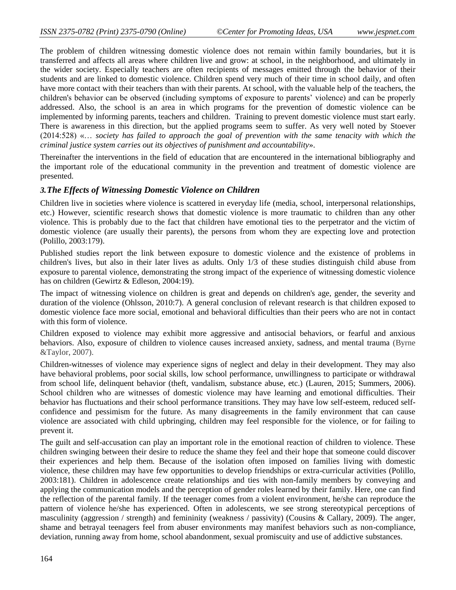The problem of children witnessing domestic violence does not remain within family boundaries, but it is transferred and affects all areas where children live and grow: at school, in the neighborhood, and ultimately in the wider society. Especially teachers are often recipients of messages emitted through the behavior of their students and are linked to domestic violence. Children spend very much of their time in school daily, and often have more contact with their teachers than with their parents. At school, with the valuable help of the teachers, the children's behavior can be observed (including symptoms of exposure to parents' violence) and can be properly addressed. Also, the school is an area in which programs for the prevention of domestic violence can be implemented by informing parents, teachers and children. Training to prevent domestic violence must start early. There is awareness in this direction, but the applied programs seem to suffer. As very well noted by Stoever (2014:528) «… *society has failed to approach the goal of prevention with the same tenacity with which the criminal justice system carries out its objectives of punishment and accountability*».

Thereinafter the interventions in the field of education that are encountered in the international bibliography and the important role of the educational community in the prevention and treatment of domestic violence are presented.

### *3.The Effects of Witnessing Domestic Violence on Children*

Children live in societies where violence is scattered in everyday life (media, school, interpersonal relationships, etc.) However, scientific research shows that domestic violence is more traumatic to children than any other violence. This is probably due to the fact that children have emotional ties to the perpetrator and the victim of domestic violence (are usually their parents), the persons from whom they are expecting love and protection (Polillo, 2003:179).

Published studies report the link between exposure to domestic violence and the existence of problems in children's lives, but also in their later lives as adults. Only 1/3 of these studies distinguish child abuse from exposure to parental violence, demonstrating the strong impact of the experience of witnessing domestic violence has on children (Gewirtz & Edleson, 2004:19).

The impact of witnessing violence on children is great and depends on children's age, gender, the severity and duration of the violence (Ohlsson, 2010:7). A general conclusion of relevant research is that children exposed to domestic violence face more social, emotional and behavioral difficulties than their peers who are not in contact with this form of violence.

Children exposed to violence may exhibit more aggressive and antisocial behaviors, or fearful and anxious behaviors. Also, exposure of children to violence causes increased anxiety, sadness, and mental trauma (Byrne &Taylor, 2007).

Children-witnesses of violence may experience signs of neglect and delay in their development. They may also have behavioral problems, poor social skills, low school performance, unwillingness to participate or withdrawal from school life, delinquent behavior (theft, vandalism, substance abuse, etc.) (Lauren, 2015; Summers, 2006). School children who are witnesses of domestic violence may have learning and emotional difficulties. Their behavior has fluctuations and their school performance transitions. They may have low self-esteem, reduced selfconfidence and pessimism for the future. As many disagreements in the family environment that can cause violence are associated with child upbringing, children may feel responsible for the violence, or for failing to prevent it.

The guilt and self-accusation can play an important role in the emotional reaction of children to violence. These children swinging between their desire to reduce the shame they feel and their hope that someone could discover their experiences and help them. Because of the isolation often imposed on families living with domestic violence, these children may have few opportunities to develop friendships or extra-curricular activities (Polillo, 2003:181). Children in adolescence create relationships and ties with non-family members by conveying and applying the communication models and the perception of gender roles learned by their family. Here, one can find the reflection of the parental family. If the teenager comes from a violent environment, he/she can reproduce the pattern of violence he/she has experienced. Often in adolescents, we see strong stereotypical perceptions of masculinity (aggression / strength) and femininity (weakness / passivity) (Cousins & Callary, 2009). The anger, shame and betrayal teenagers feel from abuser environments may manifest behaviors such as non-compliance, deviation, running away from home, school abandonment, sexual promiscuity and use of addictive substances.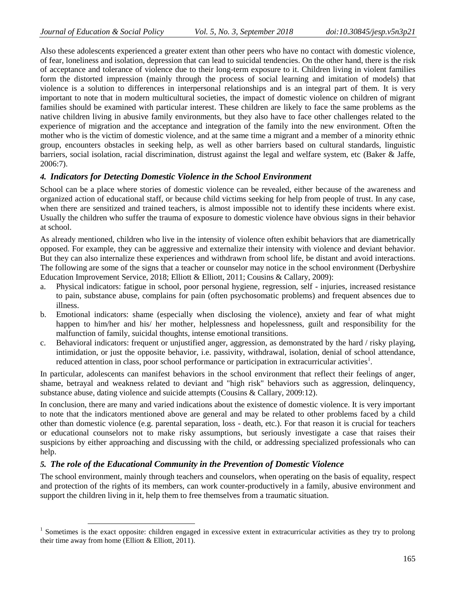$\overline{a}$ 

Also these adolescents experienced a greater extent than other peers who have no contact with domestic violence, of fear, loneliness and isolation, depression that can lead to suicidal tendencies. On the other hand, there is the risk of acceptance and tolerance of violence due to their long-term exposure to it. Children living in violent families form the distorted impression (mainly through the process of social learning and imitation of models) that violence is a solution to differences in interpersonal relationships and is an integral part of them. It is very important to note that in modern multicultural societies, the impact of domestic violence on children of migrant families should be examined with particular interest. These children are likely to face the same problems as the native children living in abusive family environments, but they also have to face other challenges related to the experience of migration and the acceptance and integration of the family into the new environment. Often the mother who is the victim of domestic violence, and at the same time a migrant and a member of a minority ethnic group, encounters obstacles in seeking help, as well as other barriers based on cultural standards, linguistic barriers, social isolation, racial discrimination, distrust against the legal and welfare system, etc (Baker & Jaffe, 2006:7).

## *4. Indicators for Detecting Domestic Violence in the School Environment*

School can be a place where stories of domestic violence can be revealed, either because of the awareness and organized action of educational staff, or because child victims seeking for help from people of trust. In any case, when there are sensitized and trained teachers, is almost impossible not to identify these incidents where exist. Usually the children who suffer the trauma of exposure to domestic violence have obvious signs in their behavior at school.

As already mentioned, children who live in the intensity of violence often exhibit behaviors that are diametrically opposed. For example, they can be aggressive and externalize their intensity with violence and deviant behavior. But they can also internalize these experiences and withdrawn from school life, be distant and avoid interactions. The following are some of the signs that a teacher or counselor may notice in the school environment (Derbyshire Education Improvement Service, 2018; Elliott & Elliott, 2011; Cousins & Callary, 2009):

- a. Physical indicators: fatigue in school, poor personal hygiene, regression, self injuries, increased resistance to pain, substance abuse, complains for pain (often psychosomatic problems) and frequent absences due to illness.
- b. Emotional indicators: shame (especially when disclosing the violence), anxiety and fear of what might happen to him/her and his/ her mother, helplessness and hopelessness, guilt and responsibility for the malfunction of family, suicidal thoughts, intense emotional transitions.
- c. Behavioral indicators: frequent or unjustified anger, aggression, as demonstrated by the hard / risky playing, intimidation, or just the opposite behavior, i.e. passivity, withdrawal, isolation, denial of school attendance, reduced attention in class, poor school performance or participation in extracurricular activities<sup>1</sup>.

In particular, adolescents can manifest behaviors in the school environment that reflect their feelings of anger, shame, betrayal and weakness related to deviant and "high risk" behaviors such as aggression, delinquency, substance abuse, dating violence and suicide attempts (Cousins & Callary, 2009:12).

In conclusion, there are many and varied indications about the existence of domestic violence. It is very important to note that the indicators mentioned above are general and may be related to other problems faced by a child other than domestic violence (e.g. parental separation, loss - death, etc.). For that reason it is crucial for teachers or educational counselors not to make risky assumptions, but seriously investigate a case that raises their suspicions by either approaching and discussing with the child, or addressing specialized professionals who can help.

## *5. The role of the Educational Community in the Prevention of Domestic Violence*

The school environment, mainly through teachers and counselors, when operating on the basis of equality, respect and protection of the rights of its members, can work counter-productively in a family, abusive environment and support the children living in it, help them to free themselves from a traumatic situation.

 $1$  Sometimes is the exact opposite: children engaged in excessive extent in extracurricular activities as they try to prolong their time away from home (Elliott  $&$  Elliott, 2011).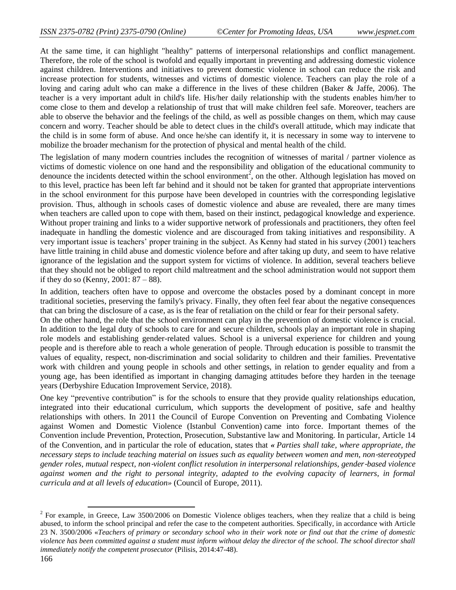At the same time, it can highlight "healthy" patterns of interpersonal relationships and conflict management. Therefore, the role of the school is twofold and equally important in preventing and addressing domestic violence against children. Interventions and initiatives to prevent domestic violence in school can reduce the risk and increase protection for students, witnesses and victims of domestic violence. Teachers can play the role of a loving and caring adult who can make a difference in the lives of these children (Baker & Jaffe, 2006). The teacher is a very important adult in child's life. His/her daily relationship with the students enables him/her to come close to them and develop a relationship of trust that will make children feel safe. Moreover, teachers are able to observe the behavior and the feelings of the child, as well as possible changes on them, which may cause concern and worry. Teacher should be able to detect clues in the child's overall attitude, which may indicate that the child is in some form of abuse. And once he/she can identify it, it is necessary in some way to intervene to mobilize the broader mechanism for the protection of physical and mental health of the child.

The legislation of many modern countries includes the recognition of witnesses of marital / partner violence as victims of domestic violence on one hand and the responsibility and obligation of the educational community to denounce the incidents detected within the school environment<sup>2</sup>, on the other. Although legislation has moved on to this level, practice has been left far behind and it should not be taken for granted that appropriate interventions in the school environment for this purpose have been developed in countries with the corresponding legislative provision. Thus, although in schools cases of domestic violence and abuse are revealed, there are many times when teachers are called upon to cope with them, based on their instinct, pedagogical knowledge and experience. Without proper training and links to a wider supportive network of professionals and practitioners, they often feel inadequate in handling the domestic violence and are discouraged from taking initiatives and responsibility. A very important issue is teachers' proper training in the subject. As Kenny had stated in his survey (2001) teachers have little training in child abuse and domestic violence before and after taking up duty, and seem to have relative ignorance of the legislation and the support system for victims of violence. In addition, several teachers believe that they should not be obliged to report child maltreatment and the school administration would not support them if they do so (Kenny,  $2001: 87 - 88$ ).

In addition, teachers often have to oppose and overcome the obstacles posed by a dominant concept in more traditional societies, preserving the family's privacy. Finally, they often feel fear about the negative consequences that can bring the disclosure of a case, as is the fear of retaliation on the child or fear for their personal safety. On the other hand, the role that the school environment can play in the prevention of domestic violence is crucial. In addition to the legal duty of schools to care for and secure children, schools play an important role in shaping role models and establishing gender-related values. School is a universal experience for children and young people and is therefore able to reach a whole generation of people. Through education is possible to transmit the values of equality, respect, non-discrimination and social solidarity to children and their families. Preventative work with children and young people in schools and other settings, in relation to gender equality and from a young age, has been identified as important in changing damaging attitudes before they harden in the teenage years (Derbyshire Education Improvement Service, 2018).

One key "preventive contribution" is for the schools to ensure that they provide quality relationships education, integrated into their educational curriculum, which supports the development of positive, safe and healthy relationships with others. In 2011 the Council of Europe Convention on Preventing and Combating Violence against Women and Domestic Violence (Istanbul Convention) came into force. Important themes of the Convention include Prevention, Protection, Prosecution, Substantive law and Monitoring. In particular, Article 14 of the Convention, and in particular the role of education, states that *« Parties shall take, where appropriate, the necessary steps to include teaching material on issues such as equality between women and men, non*‐*stereotyped gender roles, mutual respect, non*‐*violent conflict resolution in interpersonal relationships, gender*‐*based violence against women and the right to personal integrity, adapted to the evolving capacity of learners, in formal curricula and at all levels of education»* (Council of Europe, 2011).

 $\overline{a}$ 

 $2^2$  For example, in Greece, Law 3500/2006 on Domestic Violence obliges teachers, when they realize that a child is being abused, to inform the school principal and refer the case to the competent authorities. Specifically, in accordance with Article 23 N. 3500/2006 «*Teachers of primary or secondary school who in their work note or find out that the crime of domestic violence has been committed against a student must inform without delay the director of the school. The school director shall immediately notify the competent prosecutor (Pilisis, 2014:47-48).*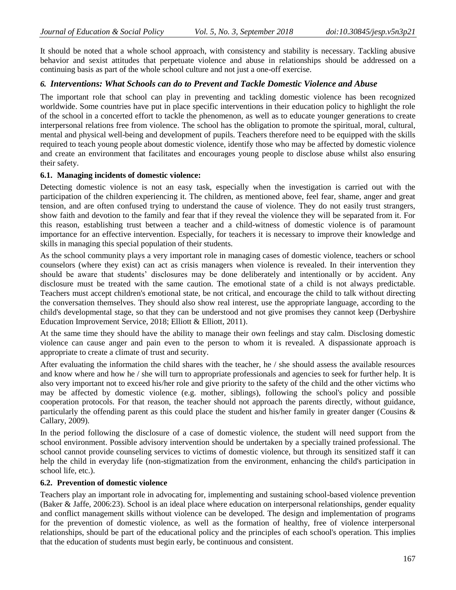It should be noted that a whole school approach, with consistency and stability is necessary. Tackling abusive behavior and sexist attitudes that perpetuate violence and abuse in relationships should be addressed on a continuing basis as part of the whole school culture and not just a one-off exercise.

## *6. Interventions: What Schools can do to Prevent and Tackle Domestic Violence and Abuse*

The important role that school can play in preventing and tackling domestic violence has been recognized worldwide. Some countries have put in place specific interventions in their education policy to highlight the role of the school in a concerted effort to tackle the phenomenon, as well as to educate younger generations to create interpersonal relations free from violence. The school has the obligation to promote the spiritual, moral, cultural, mental and physical well-being and development of pupils. Teachers therefore need to be equipped with the skills required to teach young people about domestic violence, identify those who may be affected by domestic violence and create an environment that facilitates and encourages young people to disclose abuse whilst also ensuring their safety.

#### **6.1. Managing incidents of domestic violence:**

Detecting domestic violence is not an easy task, especially when the investigation is carried out with the participation of the children experiencing it. The children, as mentioned above, feel fear, shame, anger and great tension, and are often confused trying to understand the cause of violence. They do not easily trust strangers, show faith and devotion to the family and fear that if they reveal the violence they will be separated from it. For this reason, establishing trust between a teacher and a child-witness of domestic violence is of paramount importance for an effective intervention. Especially, for teachers it is necessary to improve their knowledge and skills in managing this special population of their students.

As the school community plays a very important role in managing cases of domestic violence, teachers or school counselors (where they exist) can act as crisis managers when violence is revealed. In their intervention they should be aware that students' disclosures may be done deliberately and intentionally or by accident. Any disclosure must be treated with the same caution. The emotional state of a child is not always predictable. Teachers must accept children's emotional state, be not critical, and encourage the child to talk without directing the conversation themselves. They should also show real interest, use the appropriate language, according to the child's developmental stage, so that they can be understood and not give promises they cannot keep (Derbyshire Education Improvement Service, 2018; Elliott & Elliott, 2011).

At the same time they should have the ability to manage their own feelings and stay calm. Disclosing domestic violence can cause anger and pain even to the person to whom it is revealed. A dispassionate approach is appropriate to create a climate of trust and security.

After evaluating the information the child shares with the teacher, he / she should assess the available resources and know where and how he / she will turn to appropriate professionals and agencies to seek for further help. It is also very important not to exceed his/her role and give priority to the safety of the child and the other victims who may be affected by domestic violence (e.g. mother, siblings), following the school's policy and possible cooperation protocols. For that reason, the teacher should not approach the parents directly, without guidance, particularly the offending parent as this could place the student and his/her family in greater danger (Cousins & Callary, 2009).

In the period following the disclosure of a case of domestic violence, the student will need support from the school environment. Possible advisory intervention should be undertaken by a specially trained professional. The school cannot provide counseling services to victims of domestic violence, but through its sensitized staff it can help the child in everyday life (non-stigmatization from the environment, enhancing the child's participation in school life, etc.).

### **6.2. Prevention of domestic violence**

Teachers play an important role in advocating for, implementing and sustaining school-based violence prevention (Baker & Jaffe, 2006:23). School is an ideal place where education on interpersonal relationships, gender equality and conflict management skills without violence can be developed. The design and implementation of programs for the prevention of domestic violence, as well as the formation of healthy, free of violence interpersonal relationships, should be part of the educational policy and the principles of each school's operation. This implies that the education of students must begin early, be continuous and consistent.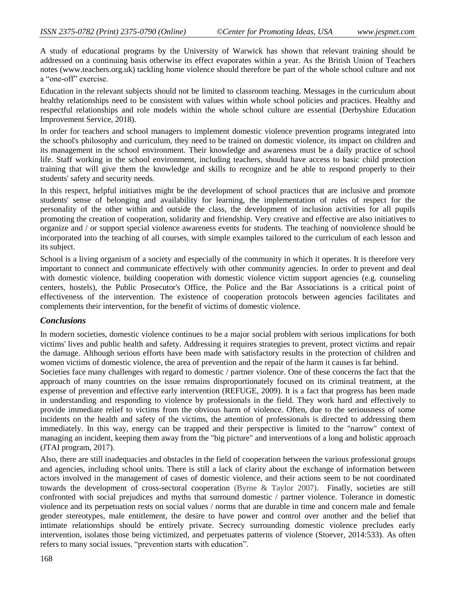A study of educational programs by the University of Warwick has shown that relevant training should be addressed on a continuing basis otherwise its effect evaporates within a year. As the British Union of Teachers notes (www.teachers.org.uk) tackling home violence should therefore be part of the whole school culture and not a "one-off" exercise.

Education in the relevant subjects should not be limited to classroom teaching. Messages in the curriculum about healthy relationships need to be consistent with values within whole school policies and practices. Healthy and respectful relationships and role models within the whole school culture are essential (Derbyshire Education Improvement Service, 2018).

In order for teachers and school managers to implement domestic violence prevention programs integrated into the school's philosophy and curriculum, they need to be trained on domestic violence, its impact on children and its management in the school environment. Their knowledge and awareness must be a daily practice of school life. Staff working in the school environment, including teachers, should have access to basic child protection training that will give them the knowledge and skills to recognize and be able to respond properly to their students' safety and security needs.

In this respect, helpful initiatives might be the development of school practices that are inclusive and promote students' sense of belonging and availability for learning, the implementation of rules of respect for the personality of the other within and outside the class, the development of inclusion activities for all pupils promoting the creation of cooperation, solidarity and friendship. Very creative and effective are also initiatives to organize and / or support special violence awareness events for students. The teaching of nonviolence should be incorporated into the teaching of all courses, with simple examples tailored to the curriculum of each lesson and its subject.

School is a living organism of a society and especially of the community in which it operates. It is therefore very important to connect and communicate effectively with other community agencies. In order to prevent and deal with domestic violence, building cooperation with domestic violence victim support agencies (e.g. counseling centers, hostels), the Public Prosecutor's Office, the Police and the Bar Associations is a critical point of effectiveness of the intervention. The existence of cooperation protocols between agencies facilitates and complements their intervention, for the benefit of victims of domestic violence.

### *Conclusions*

In modern societies, domestic violence continues to be a major social problem with serious implications for both victims' lives and public health and safety. Addressing it requires strategies to prevent, protect victims and repair the damage. Although serious efforts have been made with satisfactory results in the protection of children and women victims of domestic violence, the area of prevention and the repair of the harm it causes is far behind.

Societies face many challenges with regard to domestic / partner violence. One of these concerns the fact that the approach of many countries on the issue remains disproportionately focused on its criminal treatment, at the expense of prevention and effective early intervention (REFUGE, 2009). It is a fact that progress has been made in understanding and responding to violence by professionals in the field. They work hard and effectively to provide immediate relief to victims from the obvious harm of violence. Often, due to the seriousness of some incidents on the health and safety of the victims, the attention of professionals is directed to addressing them immediately. In this way, energy can be trapped and their perspective is limited to the "narrow" context of managing an incident, keeping them away from the "big picture" and interventions of a long and holistic approach (JTAI program, 2017).

Also, there are still inadequacies and obstacles in the field of cooperation between the various professional groups and agencies, including school units. There is still a lack of clarity about the exchange of information between actors involved in the management of cases of domestic violence, and their actions seem to be not coordinated towards the development of cross-sectoral cooperation (Byrne & Taylor 2007). Finally, societies are still confronted with social prejudices and myths that surround domestic / partner violence. Tolerance in domestic violence and its perpetuation rests on social values / norms that are durable in time and concern male and female gender stereotypes, male entitlement, the desire to have power and control over another and the belief that intimate relationships should be entirely private. Secrecy surrounding domestic violence precludes early intervention, isolates those being victimized, and perpetuates patterns of violence (Stoever, 2014:533). As often refers to many social issues, "prevention starts with education".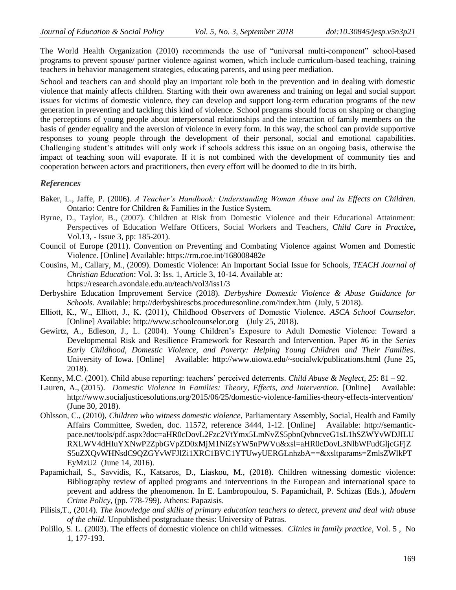The World Health Organization (2010) recommends the use of "universal multi-component" school-based programs to prevent spouse/ partner violence against women, which include curriculum-based teaching, training teachers in behavior management strategies, educating parents, and using peer mediation.

School and teachers can and should play an important role both in the prevention and in dealing with domestic violence that mainly affects children. Starting with their own awareness and training on legal and social support issues for victims of domestic violence, they can develop and support long-term education programs of the new generation in preventing and tackling this kind of violence. School programs should focus on shaping or changing the perceptions of young people about interpersonal relationships and the interaction of family members on the basis of gender equality and the aversion of violence in every form. In this way, the school can provide supportive responses to young people through the development of their personal, social and emotional capabilities. Challenging student's attitudes will only work if schools address this issue on an ongoing basis, otherwise the impact of teaching soon will evaporate. If it is not combined with the development of community ties and cooperation between actors and practitioners, then every effort will be doomed to die in its birth.

#### *References*

- Baker, L., Jaffe, P. (2006). *A Teacher's Handbook: Understanding Woman Abuse and its Effects on Children*. Ontario: Centre for Children & Families in the Justice System.
- Byrne, D., Taylor, B., (2007). Children at Risk from Domestic Violence and their Educational Attainment: Perspectives of Education Welfare Officers, Social Workers and Teachers, *Child Care in Practice***,**  Vol.13, - Issue 3, pp: 185-201).
- Council of Europe (2011). Convention on Preventing and Combating Violence against Women and Domestic Violence. [Online] Available:<https://rm.coe.int/168008482e>
- Cousins, M., Callary, M., (2009). Domestic Violence: An Important Social Issue for Schools, *TEACH Journal of Christian Education*: Vol. 3: Iss. 1, Article 3, 10-14. Available at: <https://research.avondale.edu.au/teach/vol3/iss1/3>
- Derbyshire Education Improvement Service (2018). *Derbyshire Domestic Violence & Abuse Guidance for Schools.* Available: <http://derbyshirescbs.proceduresonline.com/index.htm>(July, 5 2018).
- Elliott, Κ., W., Elliott, J., K. (2011), Childhood Observers of Domestic Violence. *ASCA School Counselor*. [Online] Available: [http://www.schoolcounselor.org](http://www.schoolcounselor.org/) (July 25, 2018).
- Gewirtz, A., Edleson, J., L. (2004). Young Children's Exposure to Adult Domestic Violence: Toward a Developmental Risk and Resilience Framework for Research and Intervention. Paper #6 in the *Series Early Childhood, Domestic Violence, and Poverty: Helping Young Children and Their Families*. University of Iowa. [Online] Available:<http://www.uiowa.edu/~socialwk/publications.html> (June 25, 2018).
- Kenny, M.C. (2001). Child abuse reporting: teachers' perceived deterrents. *Child Abuse & Neglect*, *25*: 81 92.
- Lauren, A., (2015). *Domestic Violence in Families: Theory, Effects, and Intervention.* [Online] Available: <http://www.socialjusticesolutions.org/2015/06/25/domestic-violence-families-theory-effects-intervention/> (June 30, 2018).
- Ohlsson, C., (2010), *Children who witness domestic violence*, Parliamentary Assembly, Social, Health and Family Affairs Committee, Sweden, doc. 11572, reference 3444, 1-12. [Online] Available: [http://semantic](http://semantic-pace.net/tools/pdf.aspx?doc=aHR0cDovL2Fzc2VtYmx5LmNvZS5pbnQvbncveG1sL1hSZWYvWDJILURXLWV4dHIuYXNwP2ZpbGVpZD0xMjM1NiZsYW5nPWVu&xsl=aHR0cDovL3NlbWFudGljcGFjZS5uZXQvWHNsdC9QZGYvWFJlZi1XRC1BVC1YTUwyUERGLnhzbA==&xsltparams=ZmlsZWlkPTEyMzU2)[pace.net/tools/pdf.aspx?doc=aHR0cDovL2Fzc2VtYmx5LmNvZS5pbnQvbncveG1sL1hSZWYvWDJILU](http://semantic-pace.net/tools/pdf.aspx?doc=aHR0cDovL2Fzc2VtYmx5LmNvZS5pbnQvbncveG1sL1hSZWYvWDJILURXLWV4dHIuYXNwP2ZpbGVpZD0xMjM1NiZsYW5nPWVu&xsl=aHR0cDovL3NlbWFudGljcGFjZS5uZXQvWHNsdC9QZGYvWFJlZi1XRC1BVC1YTUwyUERGLnhzbA==&xsltparams=ZmlsZWlkPTEyMzU2) [RXLWV4dHIuYXNwP2ZpbGVpZD0xMjM1NiZsYW5nPWVu&xsl=aHR0cDovL3NlbWFudGljcGFjZ](http://semantic-pace.net/tools/pdf.aspx?doc=aHR0cDovL2Fzc2VtYmx5LmNvZS5pbnQvbncveG1sL1hSZWYvWDJILURXLWV4dHIuYXNwP2ZpbGVpZD0xMjM1NiZsYW5nPWVu&xsl=aHR0cDovL3NlbWFudGljcGFjZS5uZXQvWHNsdC9QZGYvWFJlZi1XRC1BVC1YTUwyUERGLnhzbA==&xsltparams=ZmlsZWlkPTEyMzU2) [S5uZXQvWHNsdC9QZGYvWFJlZi1XRC1BVC1YTUwyUERGLnhzbA==&xsltparams=ZmlsZWlkPT](http://semantic-pace.net/tools/pdf.aspx?doc=aHR0cDovL2Fzc2VtYmx5LmNvZS5pbnQvbncveG1sL1hSZWYvWDJILURXLWV4dHIuYXNwP2ZpbGVpZD0xMjM1NiZsYW5nPWVu&xsl=aHR0cDovL3NlbWFudGljcGFjZS5uZXQvWHNsdC9QZGYvWFJlZi1XRC1BVC1YTUwyUERGLnhzbA==&xsltparams=ZmlsZWlkPTEyMzU2) [EyMzU2](http://semantic-pace.net/tools/pdf.aspx?doc=aHR0cDovL2Fzc2VtYmx5LmNvZS5pbnQvbncveG1sL1hSZWYvWDJILURXLWV4dHIuYXNwP2ZpbGVpZD0xMjM1NiZsYW5nPWVu&xsl=aHR0cDovL3NlbWFudGljcGFjZS5uZXQvWHNsdC9QZGYvWFJlZi1XRC1BVC1YTUwyUERGLnhzbA==&xsltparams=ZmlsZWlkPTEyMzU2) (June 14, 2016).
- Papamichail, S., Savvidis, K., Katsaros, D., Liaskou, M., (2018). Children witnessing domestic violence: Bibliography review of applied programs and interventions in the European and international space to prevent and address the phenomenon. In E. Lambropoulou, S. Papamichail, P. Schizas (Eds.), *Modern Crime Policy*, (pp. 778-799). Athens: Papazisis.
- Pilisis,T., (2014). *The knowledge and skills of primary education teachers to detect, prevent and deal with abuse of the child*. Unpublished postgraduate thesis: University of Patras.
- Polillo, S. L. (2003). The effects of domestic violence on child witnesses. *Clinics in family practice*, Vol. 5 , No 1, 177-193.